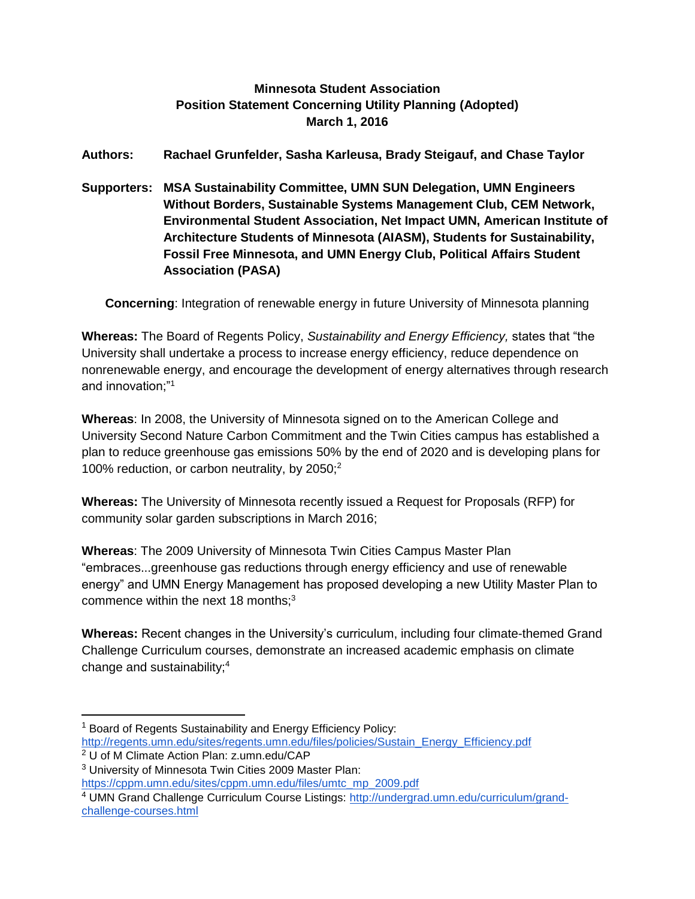## **Minnesota Student Association Position Statement Concerning Utility Planning (Adopted) March 1, 2016**

**Authors: Rachael Grunfelder, Sasha Karleusa, Brady Steigauf, and Chase Taylor**

**Supporters: MSA Sustainability Committee, UMN SUN Delegation, UMN Engineers Without Borders, Sustainable Systems Management Club, CEM Network, Environmental Student Association, Net Impact UMN, American Institute of Architecture Students of Minnesota (AIASM), Students for Sustainability, Fossil Free Minnesota, and UMN Energy Club, Political Affairs Student Association (PASA)**

**Concerning**: Integration of renewable energy in future University of Minnesota planning

**Whereas:** The Board of Regents Policy, *Sustainability and Energy Efficiency,* states that "the University shall undertake a process to increase energy efficiency, reduce dependence on nonrenewable energy, and encourage the development of energy alternatives through research and innovation;"<sup>1</sup>

**Whereas**: In 2008, the University of Minnesota signed on to the American College and University Second Nature Carbon Commitment and the Twin Cities campus has established a plan to reduce greenhouse gas emissions 50% by the end of 2020 and is developing plans for 100% reduction, or carbon neutrality, by 2050;<sup>2</sup>

**Whereas:** The University of Minnesota recently issued a Request for Proposals (RFP) for community solar garden subscriptions in March 2016;

**Whereas**: The 2009 University of Minnesota Twin Cities Campus Master Plan "embraces...greenhouse gas reductions through energy efficiency and use of renewable energy" and UMN Energy Management has proposed developing a new Utility Master Plan to commence within the next 18 months: $3$ 

**Whereas:** Recent changes in the University's curriculum, including four climate-themed Grand Challenge Curriculum courses, demonstrate an increased academic emphasis on climate change and sustainability;<sup>4</sup>

 $\overline{a}$ <sup>1</sup> Board of Regents Sustainability and Energy Efficiency Policy: [http://regents.umn.edu/sites/regents.umn.edu/files/policies/Sustain\\_Energy\\_Efficiency.pdf](http://regents.umn.edu/sites/regents.umn.edu/files/policies/Sustain_Energy_Efficiency.pdf)

<sup>2</sup> U of M Climate Action Plan: z.umn.edu/CAP

<sup>3</sup> University of Minnesota Twin Cities 2009 Master Plan:

[https://cppm.umn.edu/sites/cppm.umn.edu/files/umtc\\_mp\\_2009.pdf](https://cppm.umn.edu/sites/cppm.umn.edu/files/umtc_mp_2009.pdf)

<sup>&</sup>lt;sup>4</sup> UMN Grand Challenge Curriculum Course Listings: [http://undergrad.umn.edu/curriculum/grand](http://undergrad.umn.edu/curriculum/grand-challenge-courses.html)[challenge-courses.html](http://undergrad.umn.edu/curriculum/grand-challenge-courses.html)